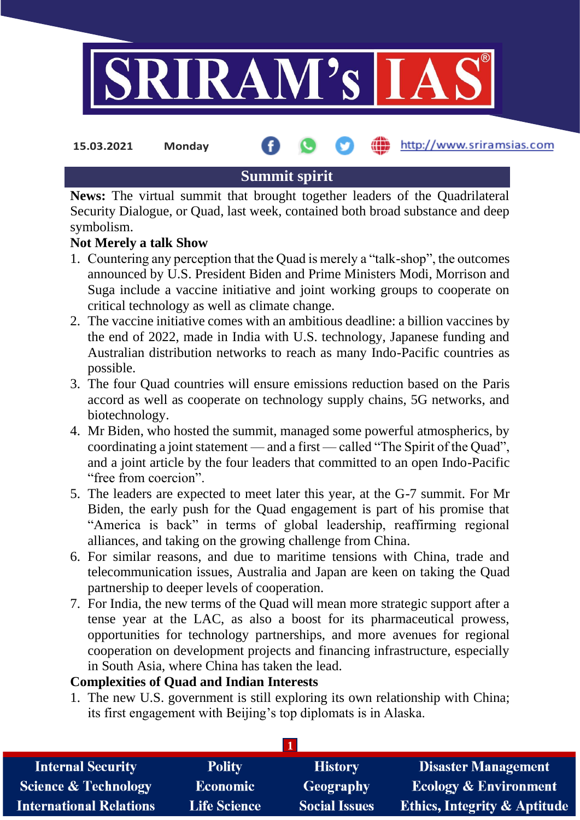

**15.03.2021 Monday**

### http://www.sriramsias.com

# **Summit spirit**

**News:** The virtual summit that brought together leaders of the Quadrilateral Security Dialogue, or Quad, last week, contained both broad substance and deep symbolism.

## **Not Merely a talk Show**

- 1. Countering any perception that the Quad is merely a "talk-shop", the outcomes announced by U.S. President Biden and Prime Ministers Modi, Morrison and Suga include a vaccine initiative and joint working groups to cooperate on critical technology as well as climate change.
- 2. The vaccine initiative comes with an ambitious deadline: a billion vaccines by the end of 2022, made in India with U.S. technology, Japanese funding and Australian distribution networks to reach as many Indo-Pacific countries as possible.
- 3. The four Quad countries will ensure emissions reduction based on the Paris accord as well as cooperate on technology supply chains, 5G networks, and biotechnology.
- 4. Mr Biden, who hosted the summit, managed some powerful atmospherics, by coordinating a joint statement — and a first — called "The Spirit of the Quad", and a joint article by the four leaders that committed to an open Indo-Pacific "free from coercion".
- 5. The leaders are expected to meet later this year, at the G-7 summit. For Mr Biden, the early push for the Quad engagement is part of his promise that "America is back" in terms of global leadership, reaffirming regional alliances, and taking on the growing challenge from China.
- 6. For similar reasons, and due to maritime tensions with China, trade and telecommunication issues, Australia and Japan are keen on taking the Quad partnership to deeper levels of cooperation.
- 7. For India, the new terms of the Quad will mean more strategic support after a tense year at the LAC, as also a boost for its pharmaceutical prowess, opportunities for technology partnerships, and more avenues for regional cooperation on development projects and financing infrastructure, especially in South Asia, where China has taken the lead.

### **Complexities of Quad and Indian Interests**

1. The new U.S. government is still exploring its own relationship with China; its first engagement with Beijing's top diplomats is in Alaska.

| <b>Internal Security</b>        | <b>Polity</b>       | <b>History</b>       | <b>Disaster Management</b>              |
|---------------------------------|---------------------|----------------------|-----------------------------------------|
| <b>Science &amp; Technology</b> | <b>Economic</b>     | Geography            | <b>Ecology &amp; Environment</b>        |
| <b>International Relations</b>  | <b>Life Science</b> | <b>Social Issues</b> | <b>Ethics, Integrity &amp; Aptitude</b> |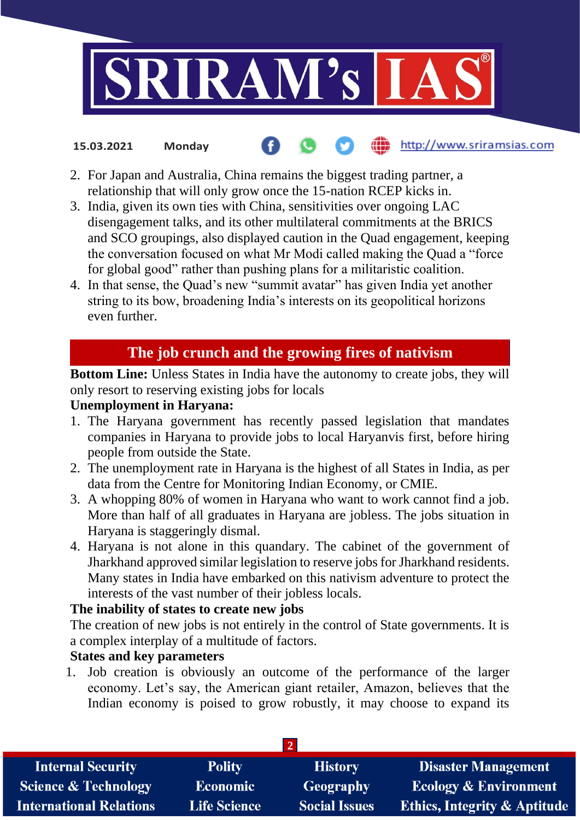

#### http://www.sriramsias.com **15.03.2021 Monday**

- 2. For Japan and Australia, China remains the biggest trading partner, a relationship that will only grow once the 15-nation RCEP kicks in.
- 3. India, given its own ties with China, sensitivities over ongoing LAC disengagement talks, and its other multilateral commitments at the BRICS and SCO groupings, also displayed caution in the Quad engagement, keeping the conversation focused on what Mr Modi called making the Quad a "force for global good" rather than pushing plans for a militaristic coalition.
- 4. In that sense, the Quad's new "summit avatar" has given India yet another string to its bow, broadening India's interests on its geopolitical horizons even further.

# **The job crunch and the growing fires of nativism**

**Bottom Line:** Unless States in India have the autonomy to create jobs, they will only resort to reserving existing jobs for locals

#### **Unemployment in Haryana:**

- 1. The Haryana government has recently passed legislation that mandates companies in Haryana to provide jobs to local Haryanvis first, before hiring people from outside the State.
- 2. The unemployment rate in Haryana is the highest of all States in India, as per data from the Centre for Monitoring Indian Economy, or CMIE.
- 3. A whopping 80% of women in Haryana who want to work cannot find a job. More than half of all graduates in Haryana are jobless. The jobs situation in Haryana is staggeringly dismal.
- 4. Haryana is not alone in this quandary. The cabinet of the government of Jharkhand approved similar legislation to reserve jobs for Jharkhand residents. Many states in India have embarked on this nativism adventure to protect the interests of the vast number of their jobless locals.

### **The inability of states to create new jobs**

The creation of new jobs is not entirely in the control of State governments. It is a complex interplay of a multitude of factors.

### **States and key parameters**

1. Job creation is obviously an outcome of the performance of the larger economy. Let's say, the American giant retailer, Amazon, believes that the Indian economy is poised to grow robustly, it may choose to expand its

| <b>Internal Security</b>        | <b>Polity</b>       | <b>History</b>       | <b>Disaster Management</b>              |  |  |
|---------------------------------|---------------------|----------------------|-----------------------------------------|--|--|
| <b>Science &amp; Technology</b> | <b>Economic</b>     | Geography            | <b>Ecology &amp; Environment</b>        |  |  |
| <b>International Relations</b>  | <b>Life Science</b> | <b>Social Issues</b> | <b>Ethics, Integrity &amp; Aptitude</b> |  |  |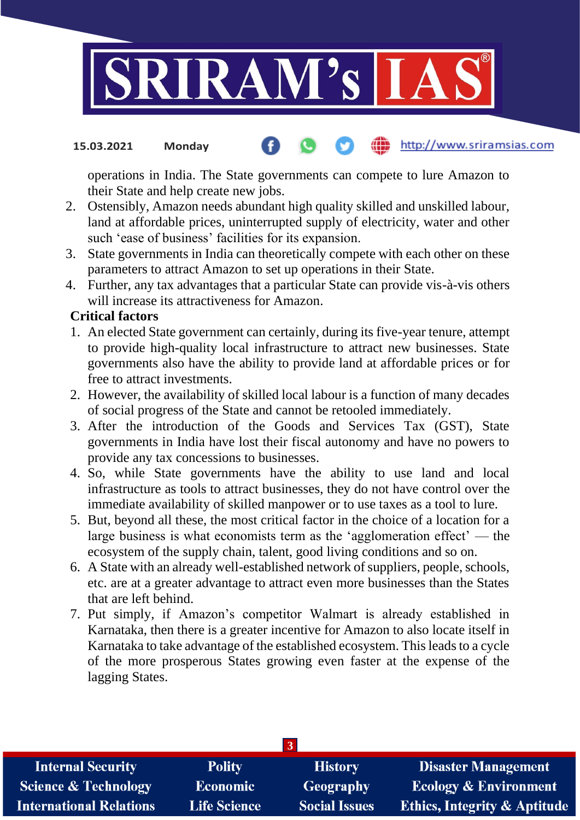

#### http://www.sriramsias.com **15.03.2021 Monday**

operations in India. The State governments can compete to lure Amazon to their State and help create new jobs.

- 2. Ostensibly, Amazon needs abundant high quality skilled and unskilled labour, land at affordable prices, uninterrupted supply of electricity, water and other such 'ease of business' facilities for its expansion.
- 3. State governments in India can theoretically compete with each other on these parameters to attract Amazon to set up operations in their State.
- 4. Further, any tax advantages that a particular State can provide vis-à-vis others will increase its attractiveness for Amazon.

#### **Critical factors**

- 1. An elected State government can certainly, during its five-year tenure, attempt to provide high-quality local infrastructure to attract new businesses. State governments also have the ability to provide land at affordable prices or for free to attract investments.
- 2. However, the availability of skilled local labour is a function of many decades of social progress of the State and cannot be retooled immediately.
- 3. After the introduction of the Goods and Services Tax (GST), State governments in India have lost their fiscal autonomy and have no powers to provide any tax concessions to businesses.
- 4. So, while State governments have the ability to use land and local infrastructure as tools to attract businesses, they do not have control over the immediate availability of skilled manpower or to use taxes as a tool to lure.
- 5. But, beyond all these, the most critical factor in the choice of a location for a large business is what economists term as the 'agglomeration effect' — the ecosystem of the supply chain, talent, good living conditions and so on.
- 6. A State with an already well-established network of suppliers, people, schools, etc. are at a greater advantage to attract even more businesses than the States that are left behind.
- 7. Put simply, if Amazon's competitor Walmart is already established in Karnataka, then there is a greater incentive for Amazon to also locate itself in Karnataka to take advantage of the established ecosystem. This leads to a cycle of the more prosperous States growing even faster at the expense of the lagging States.

| <b>Internal Security</b>        | <b>Polity</b>       | <b>History</b>       | <b>Disaster Management</b>              |  |  |  |
|---------------------------------|---------------------|----------------------|-----------------------------------------|--|--|--|
| <b>Science &amp; Technology</b> | <b>Economic</b>     | <b>Geography</b>     | <b>Ecology &amp; Environment</b>        |  |  |  |
| <b>International Relations</b>  | <b>Life Science</b> | <b>Social Issues</b> | <b>Ethics, Integrity &amp; Aptitude</b> |  |  |  |